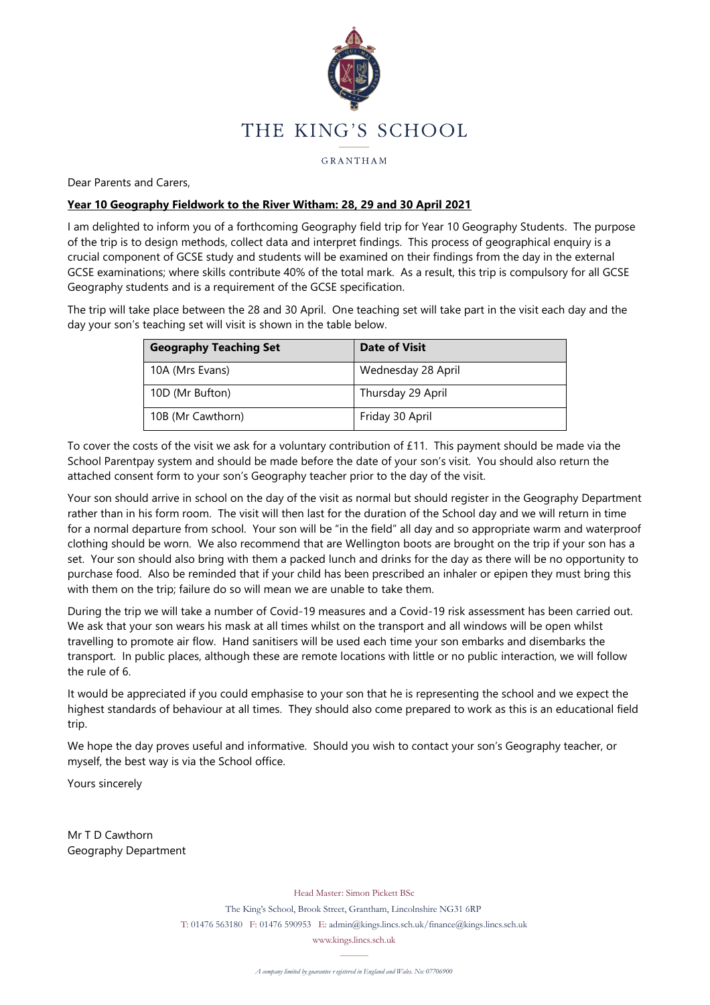

GRANTHAM

Dear Parents and Carers,

# **Year 10 Geography Fieldwork to the River Witham: 28, 29 and 30 April 2021**

I am delighted to inform you of a forthcoming Geography field trip for Year 10 Geography Students. The purpose of the trip is to design methods, collect data and interpret findings. This process of geographical enquiry is a crucial component of GCSE study and students will be examined on their findings from the day in the external GCSE examinations; where skills contribute 40% of the total mark. As a result, this trip is compulsory for all GCSE Geography students and is a requirement of the GCSE specification.

The trip will take place between the 28 and 30 April. One teaching set will take part in the visit each day and the day your son's teaching set will visit is shown in the table below.

| <b>Geography Teaching Set</b> | Date of Visit      |
|-------------------------------|--------------------|
| 10A (Mrs Evans)               | Wednesday 28 April |
| 10D (Mr Bufton)               | Thursday 29 April  |
| 10B (Mr Cawthorn)             | Friday 30 April    |

To cover the costs of the visit we ask for a voluntary contribution of £11. This payment should be made via the School Parentpay system and should be made before the date of your son's visit. You should also return the attached consent form to your son's Geography teacher prior to the day of the visit.

Your son should arrive in school on the day of the visit as normal but should register in the Geography Department rather than in his form room. The visit will then last for the duration of the School day and we will return in time for a normal departure from school. Your son will be "in the field" all day and so appropriate warm and waterproof clothing should be worn. We also recommend that are Wellington boots are brought on the trip if your son has a set. Your son should also bring with them a packed lunch and drinks for the day as there will be no opportunity to purchase food. Also be reminded that if your child has been prescribed an inhaler or epipen they must bring this with them on the trip; failure do so will mean we are unable to take them.

During the trip we will take a number of Covid-19 measures and a Covid-19 risk assessment has been carried out. We ask that your son wears his mask at all times whilst on the transport and all windows will be open whilst travelling to promote air flow. Hand sanitisers will be used each time your son embarks and disembarks the transport. In public places, although these are remote locations with little or no public interaction, we will follow the rule of 6.

It would be appreciated if you could emphasise to your son that he is representing the school and we expect the highest standards of behaviour at all times. They should also come prepared to work as this is an educational field trip.

We hope the day proves useful and informative. Should you wish to contact your son's Geography teacher, or myself, the best way is via the School office.

Yours sincerely

Mr T D Cawthorn Geography Department

Head Master: Simon Pickett BSc

The King's School, Brook Street, Grantham, Lincolnshire NG31 6RP T: 01476 563180 F: 01476 590953 E: admin@kings.lincs.sch.uk/finance@kings.lincs.sch.uk

www.kings.lincs.sch.uk